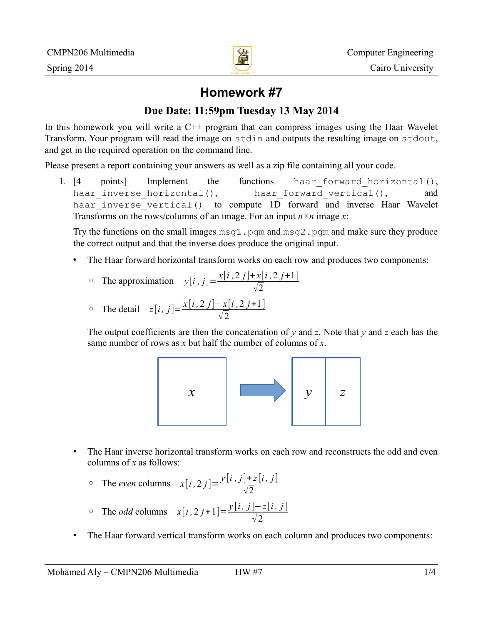

# **Homework #7**

## **Due Date: 11:59pm Tuesday 13 May 2014**

In this homework you will write a C<sup>++</sup> program that can compress images using the Haar Wavelet Transform. Your program will read the image on stdin and outputs the resulting image on stdout, and get in the required operation on the command line.

Please present a report containing your answers as well as a zip file containing all your code.

1. [4 points] Implement the functions haar\_forward\_horizontal(), haar inverse horizontal(), haar forward vertical(), and haar inverse vertical() to compute 1D forward and inverse Haar Wavelet Transforms on the rows/columns of an image. For an input *n×n* image *x*:

Try the functions on the small images  $msq1$ . pgm and  $msq2$ . pgm and make sure they produce the correct output and that the inverse does produce the original input.

- The Haar forward horizontal transform works on each row and produces two components:
	- The approximation  $y[i, j] = \frac{x[i, 2j] + x[i, 2j+1]}{5}$  $\sqrt{2}$

• The detail 
$$
z[i, j] = \frac{x[i, 2j] - x[i, 2j+1]}{\sqrt{2}}
$$

The output coefficients are then the concatenation of *y* and *z*. Note that *y* and *z* each has the same number of rows as *x* but half the number of columns of *x*.



- The Haar inverse horizontal transform works on each row and reconstructs the odd and even columns of *x* as follows:
	- The *even* columns  $x[i, 2j] = \frac{y[i, j] + z[i, j]}{5}$  $\sqrt{2}$
	- The *odd* columns  $x[i, 2j+1] = \frac{y[i, j] z[i, j]}{c}$  $\sqrt{2}$
- The Haar forward vertical transform works on each column and produces two components: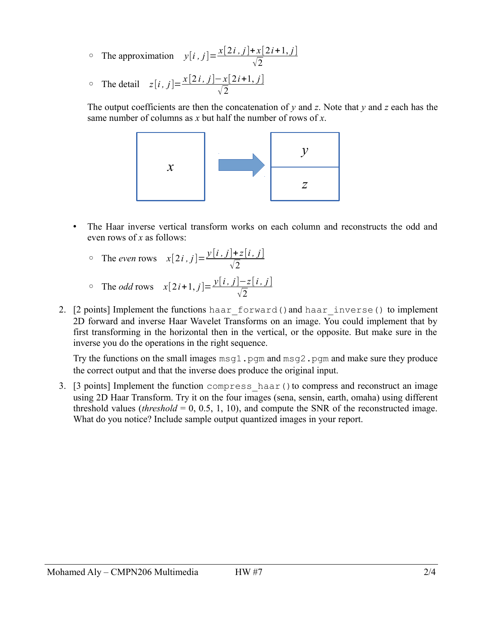- The approximation  $y[i, j] = \frac{x[2i, j] + x[2i+1, j]}{\sqrt{2}}$  $\sqrt{2}$
- The detail  $z[i, j] = \frac{x[2i, j] x[2i+1, j]}{2}$  $\sqrt{2}$

The output coefficients are then the concatenation of *y* and *z*. Note that *y* and *z* each has the same number of columns as *x* but half the number of rows of *x*.



- The Haar inverse vertical transform works on each column and reconstructs the odd and even rows of *x* as follows:
	- The *even* rows  $x[2i, j] = \frac{y[i, j] + z[i, j]}{2}$  $\sqrt{2}$
	- ∘ The *odd* rows  $x[2i+1, j] = \frac{y[i, j] z[i, j]}{z}$  $\sqrt{2}$
- 2. [2 points] Implement the functions haar\_forward()and haar\_inverse() to implement 2D forward and inverse Haar Wavelet Transforms on an image. You could implement that by first transforming in the horizontal then in the vertical, or the opposite. But make sure in the inverse you do the operations in the right sequence.

Try the functions on the small images  $msq1$ . pgm and msg2. pgm and make sure they produce the correct output and that the inverse does produce the original input.

3. [3 points] Implement the function compress haar() to compress and reconstruct an image using 2D Haar Transform. Try it on the four images (sena, sensin, earth, omaha) using different threshold values (*threshold* = 0, 0.5, 1, 10), and compute the SNR of the reconstructed image. What do you notice? Include sample output quantized images in your report.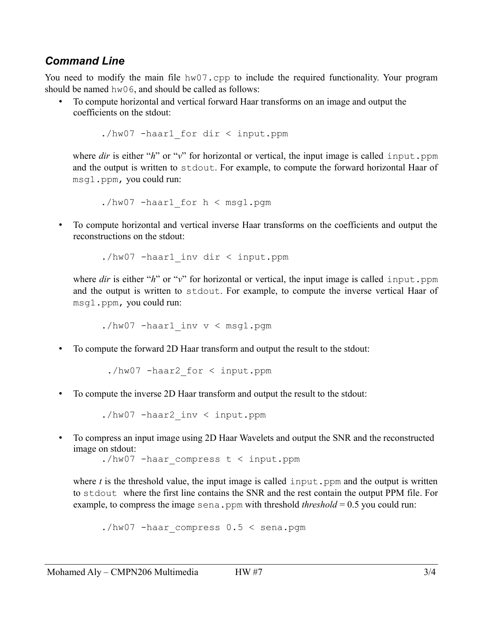#### *Command Line*

You need to modify the main file hw07.cpp to include the required functionality. Your program should be named hw06, and should be called as follows:

• To compute horizontal and vertical forward Haar transforms on an image and output the coefficients on the stdout:

./hw07 -haar1\_for dir < input.ppm

where *dir* is either "*h*" or "*v*" for horizontal or vertical, the input image is called input.ppm and the output is written to stdout. For example, to compute the forward horizontal Haar of msg1.ppm, you could run:

./hw07 -haar1 for  $h < msq1.pqm$ 

• To compute horizontal and vertical inverse Haar transforms on the coefficients and output the reconstructions on the stdout:

./hw07 -haar1\_inv dir < input.ppm

where *dir* is either "*h*" or "*v*" for horizontal or vertical, the input image is called input.ppm and the output is written to stdout. For example, to compute the inverse vertical Haar of msg1.ppm, you could run:

./hw07 -haar1\_inv v < msg1.pgm

• To compute the forward 2D Haar transform and output the result to the stdout:

./hw07 -haar2\_for < input.ppm

• To compute the inverse 2D Haar transform and output the result to the stdout:

./hw07 -haar2\_inv < input.ppm

• To compress an input image using 2D Haar Wavelets and output the SNR and the reconstructed image on stdout:

./hw07 -haar compress t < input.ppm

where  $t$  is the threshold value, the input image is called input. ppm and the output is written to stdout where the first line contains the SNR and the rest contain the output PPM file. For example, to compress the image sena.ppm with threshold *threshold* =  $0.5$  you could run:

./hw07 -haar compress  $0.5 <$  sena.pgm